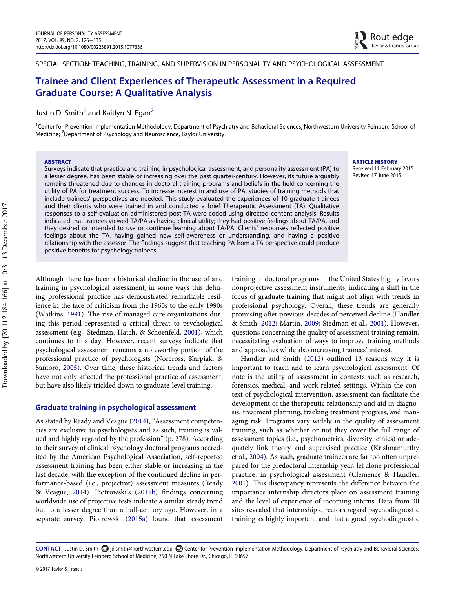SPECIAL SECTION: TEACHING, TRAINING, AND SUPERVISION IN PERSONALITY AND PSYCHOLOGICAL ASSESSMENT

# Trainee and Client Experiences of Therapeutic Assessment in a Required Graduate Course: A Qualitative Analysis

Justin D. Smith<sup>1</sup> and Kaitlyn N. Egan<sup>[2](#page-0-1)</sup>

<span id="page-0-1"></span><span id="page-0-0"></span><sup>1</sup>Center for Prevention Implementation Methodology, Department of Psychiatry and Behavioral Sciences, Northwestern University Feinberg School of Medicine; <sup>2</sup>Department of Psychology and Neuroscience, Baylor University

#### ABSTRACT

Surveys indicate that practice and training in psychological assessment, and personality assessment (PA) to a lesser degree, has been stable or increasing over the past quarter-century. However, its future arguably remains threatened due to changes in doctoral training programs and beliefs in the field concerning the utility of PA for treatment success. To increase interest in and use of PA, studies of training methods that include trainees' perspectives are needed. This study evaluated the experiences of 10 graduate trainees and their clients who were trained in and conducted a brief Therapeutic Assessment (TA). Qualitative responses to a self-evaluation administered post-TA were coded using directed content analysis. Results indicated that trainees viewed TA/PA as having clinical utility; they had positive feelings about TA/PA, and they desired or intended to use or continue learning about TA/PA. Clients' responses reflected positive feelings about the TA, having gained new self-awareness or understanding, and having a positive relationship with the assessor. The findings suggest that teaching PA from a TA perspective could produce positive benefits for psychology trainees.

Although there has been a historical decline in the use of and training in psychological assessment, in some ways this defining professional practice has demonstrated remarkable resilience in the face of criticism from the 1960s to the early 1990s (Watkins, [1991\)](#page-9-0). The rise of managed care organizations during this period represented a critical threat to psychological assessment (e.g., Stedman, Hatch, & Schoenfeld, [2001\)](#page-9-1), which continues to this day. However, recent surveys indicate that psychological assessment remains a noteworthy portion of the professional practice of psychologists (Norcross, Karpiak, & Santoro, [2005](#page-8-0)). Over time, these historical trends and factors have not only affected the professional practice of assessment, but have also likely trickled down to graduate-level training.

# Graduate training in psychological assessment

As stated by Ready and Veague ([2014\)](#page-9-2), "Assessment competencies are exclusive to psychologists and as such, training is valued and highly regarded by the profession" (p. 278). According to their survey of clinical psychology doctoral programs accredited by the American Psychological Association, self-reported assessment training has been either stable or increasing in the last decade, with the exception of the continued decline in performance-based (i.e., projective) assessment measures (Ready & Veague, [2014\)](#page-9-2). Piotrowski's ([2015b](#page-9-3)) findings concerning worldwide use of projective tests indicate a similar steady trend but to a lesser degree than a half-century ago. However, in a separate survey, Piotrowski [\(2015a\)](#page-9-4) found that assessment training in doctoral programs in the United States highly favors nonprojective assessment instruments, indicating a shift in the focus of graduate training that might not align with trends in professional psychology. Overall, these trends are generally promising after previous decades of perceived decline (Handler & Smith, [2012;](#page-8-1) Martin, [2009;](#page-8-2) Stedman et al., [2001](#page-9-1)). However, questions concerning the quality of assessment training remain, necessitating evaluation of ways to improve training methods and approaches while also increasing trainees' interest.

Handler and Smith ([2012\)](#page-8-1) outlined 13 reasons why it is important to teach and to learn psychological assessment. Of note is the utility of assessment in contexts such as research, forensics, medical, and work-related settings. Within the context of psychological intervention, assessment can facilitate the development of the therapeutic relationship and aid in diagnosis, treatment planning, tracking treatment progress, and managing risk. Programs vary widely in the quality of assessment training, such as whether or not they cover the full range of assessment topics (i.e., psychometrics, diversity, ethics) or adequately link theory and supervised practice (Krishnamurthy et al., [2004\)](#page-8-3). As such, graduate trainees are far too often unprepared for the predoctoral internship year, let alone professional practice, in psychological assessment (Clemence & Handler, [2001](#page-8-4)). This discrepancy represents the difference between the importance internship directors place on assessment training and the level of experience of incoming interns. Data from 30 sites revealed that internship directors regard psychodiagnostic training as highly important and that a good psychodiagnostic

CONTACT Justin D. Smith @ jd.smith@northwestern.edu @ Center for Prevention Implementation Methodology, Department of Psychiatry and Behavioral Sciences, Northwestern University Feinberg School of Medicine, 750 N Lake Shore Dr., Chicago, IL 60657.

Downloaded by [70.112.184.166] at 10:31 13 December 2017 Downloaded by [70.112.184.166] at 10:31 13 December 2017 ARTICLE HISTORY

Received 11 February 2015 Revised 17 June 2015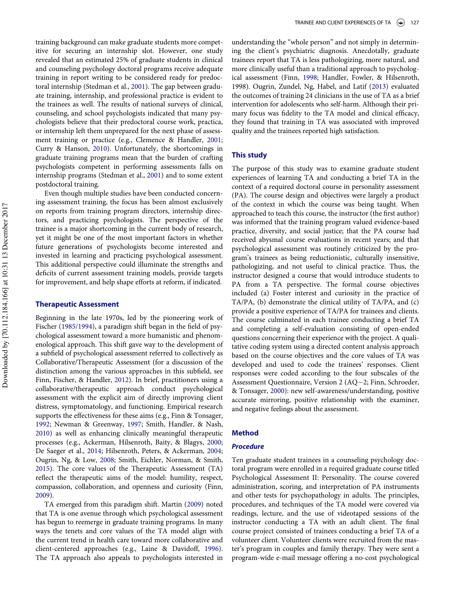training background can make graduate students more competitive for securing an internship slot. However, one study revealed that an estimated 25% of graduate students in clinical and counseling psychology doctoral programs receive adequate training in report writing to be considered ready for predoctoral internship (Stedman et al., [2001\)](#page-9-1). The gap between graduate training, internship, and professional practice is evident to the trainees as well. The results of national surveys of clinical, counseling, and school psychologists indicated that many psychologists believe that their predoctoral course work, practica, or internship left them unprepared for the next phase of assessment training or practice (e.g., Clemence & Handler, [2001;](#page-8-4) Curry & Hanson, [2010](#page-8-5)). Unfortunately, the shortcomings in graduate training programs mean that the burden of crafting psychologists competent in performing assessments falls on internship programs (Stedman et al., [2001\)](#page-9-1) and to some extent postdoctoral training.

Even though multiple studies have been conducted concerning assessment training, the focus has been almost exclusively on reports from training program directors, internship directors, and practicing psychologists. The perspective of the trainee is a major shortcoming in the current body of research, yet it might be one of the most important factors in whether future generations of psychologists become interested and invested in learning and practicing psychological assessment. This additional perspective could illuminate the strengths and deficits of current assessment training models, provide targets for improvement, and help shape efforts at reform, if indicated.

# Therapeutic Assessment

Beginning in the late 1970s, led by the pioneering work of Fischer ([1985/1994](#page-8-6)), a paradigm shift began in the field of psychological assessment toward a more humanistic and phenomenological approach. This shift gave way to the development of a subfield of psychological assessment referred to collectively as Collaborative/Therapeutic Assessment (for a discussion of the distinction among the various approaches in this subfield, see Finn, Fischer, & Handler, [2012](#page-8-7)). In brief, practitioners using a collaborative/therapeutic approach conduct psychological assessment with the explicit aim of directly improving client distress, symptomatology, and functioning. Empirical research supports the effectiveness for these aims (e.g., Finn & Tonsager, [1992;](#page-8-8) Newman & Greenway, [1997](#page-8-9); Smith, Handler, & Nash, [2010\)](#page-9-5) as well as enhancing clinically meaningful therapeutic processes (e.g., Ackerman, Hilsenroth, Baity, & Blagys, [2000;](#page-8-10) De Saeger et al., [2014;](#page-8-11) Hilsenroth, Peters, & Ackerman, [2004;](#page-8-12) Ougrin, Ng, & Low, [2008;](#page-8-13) Smith, Eichler, Norman, & Smith, [2015\)](#page-9-6). The core values of the Therapeutic Assessment (TA) reflect the therapeutic aims of the model: humility, respect, compassion, collaboration, and openness and curiosity (Finn, [2009\)](#page-8-14).

TA emerged from this paradigm shift. Martin ([2009\)](#page-8-2) noted that TA is one avenue through which psychological assessment has begun to reemerge in graduate training programs. In many ways the tenets and core values of the TA model align with the current trend in health care toward more collaborative and client-centered approaches (e.g., Laine & Davidoff, [1996](#page-8-15)). The TA approach also appeals to psychologists interested in

understanding the "whole person" and not simply in determining the client's psychiatric diagnosis. Anecdotally, graduate trainees report that TA is less pathologizing, more natural, and more clinically useful than a traditional approach to psychological assessment (Finn, [1998;](#page-8-16) Handler, Fowler, & Hilsenroth, 1998). Ougrin, Zundel, Ng, Habel, and Latif [\(2013\)](#page-8-17) evaluated the outcomes of training 24 clinicians in the use of TA as a brief intervention for adolescents who self-harm. Although their primary focus was fidelity to the TA model and clinical efficacy, they found that training in TA was associated with improved quality and the trainees reported high satisfaction.

# This study

The purpose of this study was to examine graduate student experiences of learning TA and conducting a brief TA in the context of a required doctoral course in personality assessment (PA). The course design and objectives were largely a product of the context in which the course was being taught. When approached to teach this course, the instructor (the first author) was informed that the training program valued evidence-based practice, diversity, and social justice; that the PA course had received abysmal course evaluations in recent years; and that psychological assessment was routinely criticized by the program's trainees as being reductionistic, culturally insensitive, pathologizing, and not useful to clinical practice. Thus, the instructor designed a course that would introduce students to PA from a TA perspective. The formal course objectives included (a) Foster interest and curiosity in the practice of TA/PA, (b) demonstrate the clinical utility of TA/PA, and (c) provide a positive experience of TA/PA for trainees and clients. The course culminated in each trainee conducting a brief TA and completing a self-evaluation consisting of open-ended questions concerning their experience with the project. A qualitative coding system using a directed content analysis approach based on the course objectives and the core values of TA was developed and used to code the trainees' responses. Client responses were coded according to the four subscales of the Assessment Questionnaire, Version 2  $(AQ-2; Finn, Schroeder,$ & Tonsager, [2000\)](#page-8-18): new self-awareness/understanding, positive accurate mirroring, positive relationship with the examiner, and negative feelings about the assessment.

# Method

# Procedure

Ten graduate student trainees in a counseling psychology doctoral program were enrolled in a required graduate course titled Psychological Assessment II: Personality. The course covered administration, scoring, and interpretation of PA instruments and other tests for psychopathology in adults. The principles, procedures, and techniques of the TA model were covered via readings, lecture, and the use of videotaped sessions of the instructor conducting a TA with an adult client. The final course project consisted of trainees conducting a brief TA of a volunteer client. Volunteer clients were recruited from the master's program in couples and family therapy. They were sent a program-wide e-mail message offering a no-cost psychological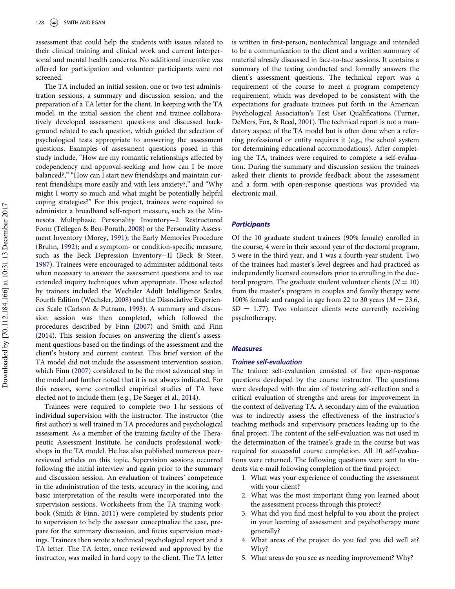assessment that could help the students with issues related to their clinical training and clinical work and current interpersonal and mental health concerns. No additional incentive was offered for participation and volunteer participants were not screened.

The TA included an initial session, one or two test administration sessions, a summary and discussion session, and the preparation of a TA letter for the client. In keeping with the TA model, in the initial session the client and trainee collaboratively developed assessment questions and discussed background related to each question, which guided the selection of psychological tests appropriate to answering the assessment questions. Examples of assessment questions posed in this study include, "How are my romantic relationships affected by codependency and approval-seeking and how can I be more balanced?," "How can I start new friendships and maintain current friendships more easily and with less anxiety?," and "Why might I worry so much and what might be potentially helpful coping strategies?" For this project, trainees were required to administer a broadband self-report measure, such as the Minnesota Multiphasic Personality Inventory-2 Restructured Form (Tellegen & Ben-Porath, [2008](#page-9-7)) or the Personality Assessment Inventory (Morey, [1991\)](#page-8-19); the Early Memories Procedure (Bruhn, [1992\)](#page-8-20); and a symptom- or condition-specific measure, such as the Beck Depression Inventory-II (Beck & Steer, [1987\)](#page-8-21). Trainees were encouraged to administer additional tests when necessary to answer the assessment questions and to use extended inquiry techniques when appropriate. Those selected by trainees included the Wechsler Adult Intelligence Scales, Fourth Edition (Wechsler, [2008](#page-9-8)) and the Dissociative Experiences Scale (Carlson & Putnam, [1993](#page-8-22)). A summary and discussion session was then completed, which followed the procedures described by Finn [\(2007](#page-8-23)) and Smith and Finn [\(2014](#page-9-9)). This session focuses on answering the client's assessment questions based on the findings of the assessment and the client's history and current context. This brief version of the TA model did not include the assessment intervention session, which Finn ([2007\)](#page-8-23) considered to be the most advanced step in the model and further noted that it is not always indicated. For this reason, some controlled empirical studies of TA have elected not to include them (e.g., De Saeger et al., [2014\)](#page-8-11).

Trainees were required to complete two 1-hr sessions of individual supervision with the instructor. The instructor (the first author) is well trained in TA procedures and psychological assessment. As a member of the training faculty of the Therapeutic Assessment Institute, he conducts professional workshops in the TA model. He has also published numerous peerreviewed articles on this topic. Supervision sessions occurred following the initial interview and again prior to the summary and discussion session. An evaluation of trainees' competence in the administration of the tests, accuracy in the scoring, and basic interpretation of the results were incorporated into the supervision sessions. Worksheets from the TA training workbook (Smith & Finn, [2011\)](#page-9-10) were completed by students prior to supervision to help the assessor conceptualize the case, prepare for the summary discussion, and focus supervision meetings. Trainees then wrote a technical psychological report and a TA letter. The TA letter, once reviewed and approved by the instructor, was mailed in hard copy to the client. The TA letter

is written in first-person, nontechnical language and intended to be a communication to the client and a written summary of material already discussed in face-to-face sessions. It contains a summary of the testing conducted and formally answers the client's assessment questions. The technical report was a requirement of the course to meet a program competency requirement, which was developed to be consistent with the expectations for graduate trainees put forth in the American Psychological Association's Test User Qualifications (Turner, DeMers, Fox, & Reed, [2001](#page-9-11)). The technical report is not a mandatory aspect of the TA model but is often done when a referring professional or entity requires it (e.g., the school system for determining educational accommodations). After completing the TA, trainees were required to complete a self-evaluation. During the summary and discussion session the trainees asked their clients to provide feedback about the assessment and a form with open-response questions was provided via electronic mail.

# **Participants**

Of the 10 graduate student trainees (90% female) enrolled in the course, 4 were in their second year of the doctoral program, 5 were in the third year, and 1 was a fourth-year student. Two of the trainees had master's-level degrees and had practiced as independently licensed counselors prior to enrolling in the doctoral program. The graduate student volunteer clients ( $N = 10$ ) from the master's program in couples and family therapy were 100% female and ranged in age from 22 to 30 years ( $M = 23.6$ ,  $SD = 1.77$ ). Two volunteer clients were currently receiving psychotherapy.

#### Measures

## Trainee self-evaluation

The trainee self-evaluation consisted of five open-response questions developed by the course instructor. The questions were developed with the aim of fostering self-reflection and a critical evaluation of strengths and areas for improvement in the context of delivering TA. A secondary aim of the evaluation was to indirectly assess the effectiveness of the instructor's teaching methods and supervisory practices leading up to the final project. The content of the self-evaluation was not used in the determination of the trainee's grade in the course but was required for successful course completion. All 10 self-evaluations were returned. The following questions were sent to students via e-mail following completion of the final project:

- 1. What was your experience of conducting the assessment with your client?
- 2. What was the most important thing you learned about the assessment process through this project?
- 3. What did you find most helpful to you about the project in your learning of assessment and psychotherapy more generally?
- 4. What areas of the project do you feel you did well at? Why?
- 5. What areas do you see as needing improvement? Why?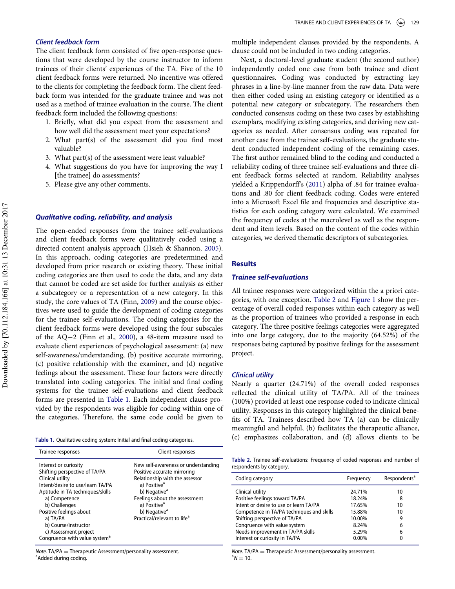# Client feedback form

The client feedback form consisted of five open-response questions that were developed by the course instructor to inform trainees of their clients' experiences of the TA. Five of the 10 client feedback forms were returned. No incentive was offered to the clients for completing the feedback form. The client feedback form was intended for the graduate trainee and was not used as a method of trainee evaluation in the course. The client feedback form included the following questions:

- 1. Briefly, what did you expect from the assessment and how well did the assessment meet your expectations?
- 2. What part(s) of the assessment did you find most valuable?
- 3. What part(s) of the assessment were least valuable?
- 4. What suggestions do you have for improving the way I [the trainee] do assessments?
- 5. Please give any other comments.

# Qualitative coding, reliability, and analysis

The open-ended responses from the trainee self-evaluations and client feedback forms were qualitatively coded using a directed content analysis approach (Hsieh & Shannon, [2005](#page-8-24)). In this approach, coding categories are predetermined and developed from prior research or existing theory. These initial coding categories are then used to code the data, and any data that cannot be coded are set aside for further analysis as either a subcategory or a representation of a new category. In this study, the core values of TA (Finn, [2009](#page-8-14)) and the course objectives were used to guide the development of coding categories for the trainee self-evaluations. The coding categories for the client feedback forms were developed using the four subscales of the  $AQ-2$  (Finn et al., [2000](#page-8-18)), a 48-item measure used to evaluate client experiences of psychological assessment: (a) new self-awareness/understanding, (b) positive accurate mirroring, (c) positive relationship with the examiner, and (d) negative feelings about the assessment. These four factors were directly translated into coding categories. The initial and final coding systems for the trainee self-evaluations and client feedback forms are presented in [Table 1.](#page-3-0) Each independent clause provided by the respondents was eligible for coding within one of the categories. Therefore, the same code could be given to

| Trainee responses                                                                                                                                                                                                                                                                                                         | Client responses                                                                                                                                                                                                                                                                                 |
|---------------------------------------------------------------------------------------------------------------------------------------------------------------------------------------------------------------------------------------------------------------------------------------------------------------------------|--------------------------------------------------------------------------------------------------------------------------------------------------------------------------------------------------------------------------------------------------------------------------------------------------|
| Interest or curiosity<br>Shifting perspective of TA/PA<br>Clinical utility<br>Intent/desire to use/learn TA/PA<br>Aptitude in TA techniques/skills<br>a) Competence<br>b) Challenges<br>Positive feelings about<br>a) TA/PA<br>b) Course/instructor<br>c) Assessment project<br>Congruence with value system <sup>a</sup> | New self-awareness or understanding<br>Positive accurate mirroring<br>Relationship with the assessor<br>a) Positive <sup>a</sup><br>b) Negative <sup>a</sup><br>Feelings about the assessment<br>a) Positive <sup>a</sup><br>b) Negative <sup>a</sup><br>Practical/relevant to life <sup>a</sup> |

<span id="page-3-1"></span><span id="page-3-0"></span>Note. TA/PA  $=$  Therapeutic Assessment/personality assessment. <sup>a</sup> Added during coding.

multiple independent clauses provided by the respondents. A clause could not be included in two coding categories.

Next, a doctoral-level graduate student (the second author) independently coded one case from both trainee and client questionnaires. Coding was conducted by extracting key phrases in a line-by-line manner from the raw data. Data were then either coded using an existing category or identified as a potential new category or subcategory. The researchers then conducted consensus coding on these two cases by establishing exemplars, modifying existing categories, and deriving new categories as needed. After consensus coding was repeated for another case from the trainee self-evaluations, the graduate student conducted independent coding of the remaining cases. The first author remained blind to the coding and conducted a reliability coding of three trainee self-evaluations and three client feedback forms selected at random. Reliability analyses yielded a Krippendorff's [\(2011](#page-8-25)) alpha of .84 for trainee evaluations and .80 for client feedback coding. Codes were entered into a Microsoft Excel file and frequencies and descriptive statistics for each coding category were calculated. We examined the frequency of codes at the macrolevel as well as the respondent and item levels. Based on the content of the codes within categories, we derived thematic descriptors of subcategories.

# **Results**

# Trainee self-evaluations

All trainee responses were categorized within the a priori categories, with one exception. [Table 2](#page-3-1) and [Figure 1](#page-4-0) show the percentage of overall coded responses within each category as well as the proportion of trainees who provided a response in each category. The three positive feelings categories were aggregated into one large category, due to the majority (64.52%) of the responses being captured by positive feelings for the assessment project.

#### Clinical utility

Nearly a quarter (24.71%) of the overall coded responses reflected the clinical utility of TA/PA. All of the trainees (100%) provided at least one response coded to indicate clinical utility. Responses in this category highlighted the clinical benefits of TA. Trainees described how TA (a) can be clinically meaningful and helpful, (b) facilitates the therapeutic alliance, Table 1. Qualitative coding system: Initial and final coding categories. (c) emphasizes collaboration, and (d) allows clients to be

Table 2. Trainee self-evaluations: Frequency of coded responses and number of respondents by category.

| Coding category                           | Frequency | Respondents <sup>a</sup> |
|-------------------------------------------|-----------|--------------------------|
| Clinical utility                          | 24.71%    | 10                       |
| Positive feelings toward TA/PA            | 18.24%    | 8                        |
| Intent or desire to use or learn TA/PA    | 17.65%    | 10                       |
| Competence in TA/PA techniques and skills | 15.88%    | 10                       |
| Shifting perspective of TA/PA             | 10.00%    | 9                        |
| Congruence with value system              | 8.24%     | 6                        |
| Needs improvement in TA/PA skills         | 5.29%     | 6                        |
| Interest or curiosity in TA/PA            | $0.00\%$  | 0                        |

Note. TA/PA  $=$  Therapeutic Assessment/personality assessment.  ${}^{a}N = 10.$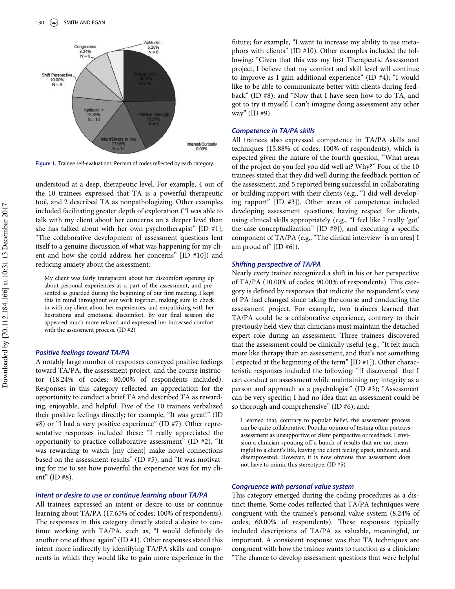<span id="page-4-0"></span>

Figure 1. Trainee self-evaluations: Percent of codes reflected by each category.

understood at a deep, therapeutic level. For example, 4 out of the 10 trainees expressed that TA is a powerful therapeutic tool, and 2 described TA as nonpathologizing. Other examples included facilitating greater depth of exploration ("I was able to talk with my client about her concerns on a deeper level than she has talked about with her own psychotherapist" [ID #1]; "The collaborative development of assessment questions lent itself to a genuine discussion of what was happening for my client and how she could address her concerns" [ID #10]) and reducing anxiety about the assessment:

My client was fairly transparent about her discomfort opening up about personal experiences as a part of the assessment, and presented as guarded during the beginning of our first meeting. I kept this in mind throughout our work together, making sure to check in with my client about her experiences, and empathizing with her hesitations and emotional discomfort. By our final session she appeared much more relaxed and expressed her increased comfort with the assessment process. (ID #2)

#### Positive feelings toward TA/PA

A notably large number of responses conveyed positive feelings toward TA/PA, the assessment project, and the course instructor (18.24% of codes; 80.00% of respondents included). Responses in this category reflected an appreciation for the opportunity to conduct a brief TA and described TA as rewarding, enjoyable, and helpful. Five of the 10 trainees verbalized their positive feelings directly; for example, "It was great!" (ID #8) or "I had a very positive experience" (ID #7). Other representative responses included these: "I really appreciated the opportunity to practice collaborative assessment" (ID #2), "It was rewarding to watch [my client] make novel connections based on the assessment results" (ID #5), and "It was motivating for me to see how powerful the experience was for my client" (ID #8).

#### Intent or desire to use or continue learning about TA/PA

All trainees expressed an intent or desire to use or continue learning about TA/PA (17.65% of codes; 100% of respondents). The responses in this category directly stated a desire to continue working with TA/PA, such as, "I would definitely do another one of these again" (ID #1). Other responses stated this intent more indirectly by identifying TA/PA skills and components in which they would like to gain more experience in the future; for example, "I want to increase my ability to use metaphors with clients" (ID #10). Other examples included the following: "Given that this was my first Therapeutic Assessment project, I believe that my comfort and skill level will continue to improve as I gain additional experience" (ID #4); "I would like to be able to communicate better with clients during feedback" (ID #8); and "Now that I have seen how to do TA, and got to try it myself, I can't imagine doing assessment any other way" (ID #9).

#### Competence in TA/PA skills

All trainees also expressed competence in TA/PA skills and techniques (15.88% of codes; 100% of respondents), which is expected given the nature of the fourth question, "What areas of the project do you feel you did well at? Why?" Four of the 10 trainees stated that they did well during the feedback portion of the assessment, and 5 reported being successful in collaborating or building rapport with their clients (e.g., "I did well developing rapport" [ID #3]). Other areas of competence included developing assessment questions, having respect for clients, using clinical skills appropriately (e.g., "I feel like I really 'got' the case conceptualization" [ID #9]), and executing a specific component of TA/PA (e.g., "The clinical interview [is an area] I am proud of"  $[ID #6]$ ).

#### Shifting perspective of TA/PA

Nearly every trainee recognized a shift in his or her perspective of TA/PA (10.00% of codes; 90.00% of respondents). This category is defined by responses that indicate the respondent's view of PA had changed since taking the course and conducting the assessment project. For example, two trainees learned that TA/PA could be a collaborative experience, contrary to their previously held view that clinicians must maintain the detached expert role during an assessment. Three trainees discovered that the assessment could be clinically useful (e.g., "It felt much more like therapy than an assessment, and that's not something I expected at the beginning of the term" [ID #1]). Other characteristic responses included the following: "[I discovered] that I can conduct an assessment while maintaining my integrity as a person and approach as a psychologist" (ID #3); "Assessment can be very specific; I had no idea that an assessment could be so thorough and comprehensive" (ID #6); and:

I learned that, contrary to popular belief, the assessment process can be quite collaborative. Popular opinion of testing often portrays assessment as unsupportive of client perspective or feedback. I envision a clinician spouting off a bunch of results that are not meaningful to a client's life, leaving the client feeling upset, unheard, and disempowered. However, it is now obvious that assessment does not have to mimic this stereotype. (ID #5)

### Congruence with personal value system

This category emerged during the coding procedures as a distinct theme. Some codes reflected that TA/PA techniques were congruent with the trainee's personal value system (8.24% of codes; 60.00% of respondents). These responses typically included descriptions of TA/PA as valuable, meaningful, or important. A consistent response was that TA techniques are congruent with how the trainee wants to function as a clinician: "The chance to develop assessment questions that were helpful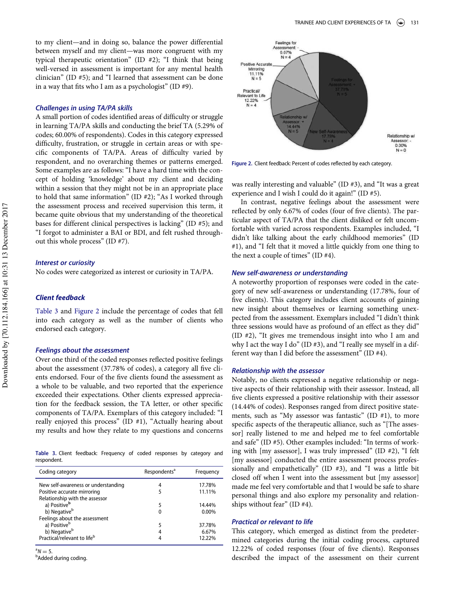<span id="page-5-1"></span>to my client—and in doing so, balance the power differential between myself and my client—was more congruent with my typical therapeutic orientation" (ID #2); "I think that being well-versed in assessment is important for any mental health clinician" (ID #5); and "I learned that assessment can be done in a way that fits who I am as a psychologist" (ID  $#9$ ).

#### Challenges in using TA/PA skills

A small portion of codes identified areas of difficulty or struggle in learning TA/PA skills and conducting the brief TA (5.29% of codes; 60.00% of respondents). Codes in this category expressed difficulty, frustration, or struggle in certain areas or with specific components of TA/PA. Areas of difficulty varied by respondent, and no overarching themes or patterns emerged. Some examples are as follows: "I have a hard time with the concept of holding 'knowledge' about my client and deciding within a session that they might not be in an appropriate place to hold that same information" (ID #2); "As I worked through the assessment process and received supervision this term, it became quite obvious that my understanding of the theoretical bases for different clinical perspectives is lacking" (ID #5); and "I forgot to administer a BAI or BDI, and felt rushed throughout this whole process" (ID #7).

#### Interest or curiosity

No codes were categorized as interest or curiosity in TA/PA.

# Client feedback

[Table 3](#page-5-0) and [Figure 2](#page-5-1) include the percentage of codes that fell into each category as well as the number of clients who endorsed each category.

#### Feelings about the assessment

Over one third of the coded responses reflected positive feelings about the assessment (37.78% of codes), a category all five clients endorsed. Four of the five clients found the assessment as a whole to be valuable, and two reported that the experience exceeded their expectations. Other clients expressed appreciation for the feedback session, the TA letter, or other specific components of TA/PA. Exemplars of this category included: "I really enjoyed this process" (ID #1), "Actually hearing about my results and how they relate to my questions and concerns

<span id="page-5-0"></span>Table 3. Client feedback: Frequency of coded responses by category and respondent.

| Coding category                         | Respondents <sup>a</sup> | Frequency |
|-----------------------------------------|--------------------------|-----------|
| New self-awareness or understanding     | 4                        | 17.78%    |
| Positive accurate mirroring             | 5                        | 11.11%    |
| Relationship with the assessor          |                          |           |
| a) Positive <sup>b</sup>                | 5                        | 14.44%    |
| b) Negative <sup>b</sup>                | 0                        | $0.00\%$  |
| Feelings about the assessment           |                          |           |
| a) Positive <sup>b</sup>                | 5                        | 37.78%    |
| b) Negative <sup>b</sup>                |                          | 6.67%     |
| Practical/relevant to life <sup>b</sup> |                          | 12.22%    |

 $N = 5.$ 

**b**Added during coding.



Figure 2. Client feedback: Percent of codes reflected by each category.

was really interesting and valuable" (ID #3), and "It was a great experience and I wish I could do it again!" (ID #5).

In contrast, negative feelings about the assessment were reflected by only 6.67% of codes (four of five clients). The particular aspect of TA/PA that the client disliked or felt uncomfortable with varied across respondents. Examples included, "I didn't like talking about the early childhood memories" (ID #1), and "I felt that it moved a little quickly from one thing to the next a couple of times" (ID #4).

# New self-awareness or understanding

A noteworthy proportion of responses were coded in the category of new self-awareness or understanding (17.78%, four of five clients). This category includes client accounts of gaining new insight about themselves or learning something unexpected from the assessment. Exemplars included "I didn't think three sessions would have as profound of an effect as they did" (ID #2), "It gives me tremendous insight into who I am and why I act the way I do" (ID #3), and "I really see myself in a different way than I did before the assessment" (ID #4).

### Relationship with the assessor

Notably, no clients expressed a negative relationship or negative aspects of their relationship with their assessor. Instead, all five clients expressed a positive relationship with their assessor (14.44% of codes). Responses ranged from direct positive statements, such as "My assessor was fantastic" (ID #1), to more specific aspects of the therapeutic alliance, such as "[The assessor] really listened to me and helped me to feel comfortable and safe" (ID #5). Other examples included: "In terms of working with [my assessor], I was truly impressed" (ID #2), "I felt [my assessor] conducted the entire assessment process professionally and empathetically" (ID #3), and "I was a little bit closed off when I went into the assessment but [my assessor] made me feel very comfortable and that I would be safe to share personal things and also explore my personality and relationships without fear" (ID #4).

#### Practical or relevant to life

This category, which emerged as distinct from the predetermined categories during the initial coding process, captured 12.22% of coded responses (four of five clients). Responses described the impact of the assessment on their current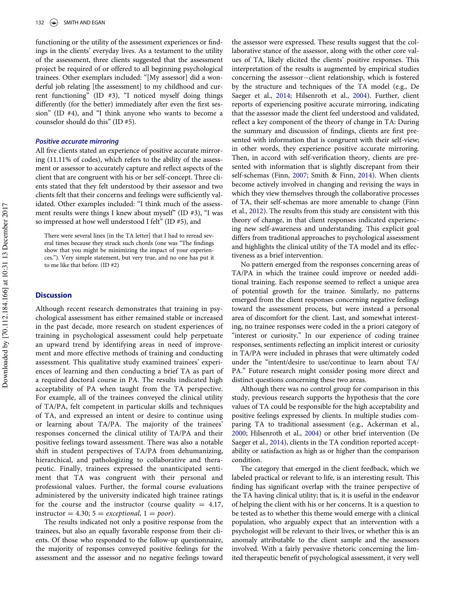functioning or the utility of the assessment experiences or findings in the clients' everyday lives. As a testament to the utility of the assessment, three clients suggested that the assessment project be required of or offered to all beginning psychological trainees. Other exemplars included: "[My assessor] did a wonderful job relating [the assessment] to my childhood and current functioning" (ID #3), "I noticed myself doing things differently (for the better) immediately after even the first session" (ID #4), and "I think anyone who wants to become a counselor should do this" (ID #5).

#### Positive accurate mirroring

All five clients stated an experience of positive accurate mirroring (11.11% of codes), which refers to the ability of the assessment or assessor to accurately capture and reflect aspects of the client that are congruent with his or her self-concept. Three clients stated that they felt understood by their assessor and two clients felt that their concerns and feelings were sufficiently validated. Other examples included: "I think much of the assessment results were things I knew about myself" (ID #3), "I was so impressed at how well understood I felt" (ID #5), and

There were several lines [in the TA letter] that I had to reread several times because they struck such chords (one was "The findings show that you might be minimizing the impact of your experiences."). Very simple statement, but very true, and no one has put it to me like that before. (ID #2)

#### **Discussion**

Although recent research demonstrates that training in psychological assessment has either remained stable or increased in the past decade, more research on student experiences of training in psychological assessment could help perpetuate an upward trend by identifying areas in need of improvement and more effective methods of training and conducting assessment. This qualitative study examined trainees' experiences of learning and then conducting a brief TA as part of a required doctoral course in PA. The results indicated high acceptability of PA when taught from the TA perspective. For example, all of the trainees conveyed the clinical utility of TA/PA, felt competent in particular skills and techniques of TA, and expressed an intent or desire to continue using or learning about TA/PA. The majority of the trainees' responses concerned the clinical utility of TA/PA and their positive feelings toward assessment. There was also a notable shift in student perspectives of TA/PA from dehumanizing, hierarchical, and pathologizing to collaborative and therapeutic. Finally, trainees expressed the unanticipated sentiment that TA was congruent with their personal and professional values. Further, the formal course evaluations administered by the university indicated high trainee ratings for the course and the instructor (course quality  $= 4.17$ , instructor = 4.30;  $5 = exceptional$ ,  $1 = poor$ ).

The results indicated not only a positive response from the trainees, but also an equally favorable response from their clients. Of those who responded to the follow-up questionnaire, the majority of responses conveyed positive feelings for the assessment and the assessor and no negative feelings toward

the assessor were expressed. These results suggest that the collaborative stance of the assessor, along with the other core values of TA, likely elicited the clients' positive responses. This interpretation of the results is augmented by empirical studies concerning the assessor-client relationship, which is fostered by the structure and techniques of the TA model (e.g., De Saeger et al., [2014;](#page-8-11) Hilsenroth et al., [2004](#page-8-12)). Further, client reports of experiencing positive accurate mirroring, indicating that the assessor made the client feel understood and validated, reflect a key component of the theory of change in TA: During the summary and discussion of findings, clients are first presented with information that is congruent with their self-view; in other words, they experience positive accurate mirroring. Then, in accord with self-verification theory, clients are presented with information that is slightly discrepant from their self-schemas (Finn, [2007](#page-8-23); Smith & Finn, [2014\)](#page-9-9). When clients become actively involved in changing and revising the ways in which they view themselves through the collaborative processes of TA, their self-schemas are more amenable to change (Finn et al., [2012\)](#page-8-7). The results from this study are consistent with this theory of change, in that client responses indicated experiencing new self-awareness and understanding. This explicit goal differs from traditional approaches to psychological assessment and highlights the clinical utility of the TA model and its effectiveness as a brief intervention.

No pattern emerged from the responses concerning areas of TA/PA in which the trainee could improve or needed additional training. Each response seemed to reflect a unique area of potential growth for the trainee. Similarly, no patterns emerged from the client responses concerning negative feelings toward the assessment process, but were instead a personal area of discomfort for the client. Last, and somewhat interesting, no trainee responses were coded in the a priori category of "interest or curiosity." In our experience of coding trainee responses, sentiments reflecting an implicit interest or curiosity in TA/PA were included in phrases that were ultimately coded under the "intent/desire to use/continue to learn about TA/ PA." Future research might consider posing more direct and distinct questions concerning these two areas.

Although there was no control group for comparison in this study, previous research supports the hypothesis that the core values of TA could be responsible for the high acceptability and positive feelings expressed by clients. In multiple studies comparing TA to traditional assessment (e.g., Ackerman et al., [2000](#page-8-10); Hilsenroth et al., [2004](#page-8-12)) or other brief intervention (De Saeger et al., [2014](#page-8-11)), clients in the TA condition reported acceptability or satisfaction as high as or higher than the comparison condition.

The category that emerged in the client feedback, which we labeled practical or relevant to life, is an interesting result. This finding has significant overlap with the trainee perspective of the TA having clinical utility; that is, it is useful in the endeavor of helping the client with his or her concerns. It is a question to be tested as to whether this theme would emerge with a clinical population, who arguably expect that an intervention with a psychologist will be relevant to their lives, or whether this is an anomaly attributable to the client sample and the assessors involved. With a fairly pervasive rhetoric concerning the limited therapeutic benefit of psychological assessment, it very well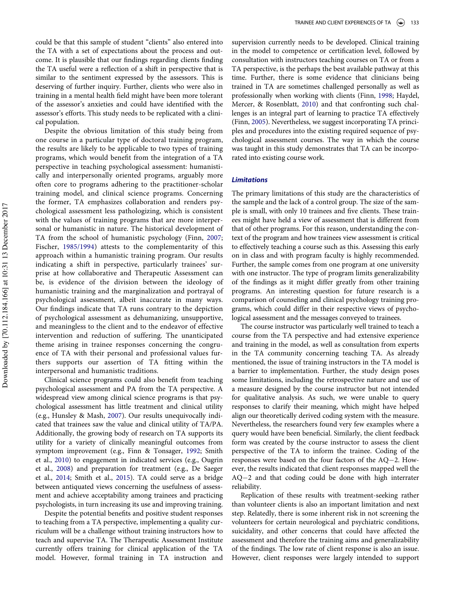could be that this sample of student "clients" also entered into the TA with a set of expectations about the process and outcome. It is plausible that our findings regarding clients finding the TA useful were a reflection of a shift in perspective that is similar to the sentiment expressed by the assessors. This is deserving of further inquiry. Further, clients who were also in training in a mental health field might have been more tolerant of the assessor's anxieties and could have identified with the assessor's efforts. This study needs to be replicated with a clinical population.

Despite the obvious limitation of this study being from one course in a particular type of doctoral training program, the results are likely to be applicable to two types of training programs, which would benefit from the integration of a TA perspective in teaching psychological assessment: humanistically and interpersonally oriented programs, arguably more often core to programs adhering to the practitioner-scholar training model, and clinical science programs. Concerning the former, TA emphasizes collaboration and renders psychological assessment less pathologizing, which is consistent with the values of training programs that are more interpersonal or humanistic in nature. The historical development of TA from the school of humanistic psychology (Finn, [2007;](#page-8-23) Fischer, [1985/1994\)](#page-8-6) attests to the complementarity of this approach within a humanistic training program. Our results indicating a shift in perspective, particularly trainees' surprise at how collaborative and Therapeutic Assessment can be, is evidence of the division between the ideology of humanistic training and the marginalization and portrayal of psychological assessment, albeit inaccurate in many ways. Our findings indicate that TA runs contrary to the depiction of psychological assessment as dehumanizing, unsupportive, and meaningless to the client and to the endeavor of effective intervention and reduction of suffering. The unanticipated theme arising in trainee responses concerning the congruence of TA with their personal and professional values furthers supports our assertion of TA fitting within the interpersonal and humanistic traditions.

Clinical science programs could also benefit from teaching psychological assessment and PA from the TA perspective. A widespread view among clinical science programs is that psychological assessment has little treatment and clinical utility (e.g., Hunsley & Mash, [2007\)](#page-8-26). Our results unequivocally indicated that trainees saw the value and clinical utility of TA/PA. Additionally, the growing body of research on TA supports its utility for a variety of clinically meaningful outcomes from symptom improvement (e.g., Finn & Tonsager, [1992;](#page-8-8) Smith et al., [2010\)](#page-9-5) to engagement in indicated services (e.g., Ougrin et al., [2008](#page-8-13)) and preparation for treatment (e.g., De Saeger et al., [2014](#page-8-11); Smith et al., [2015](#page-9-6)). TA could serve as a bridge between antiquated views concerning the usefulness of assessment and achieve acceptability among trainees and practicing psychologists, in turn increasing its use and improving training.

Despite the potential benefits and positive student responses to teaching from a TA perspective, implementing a quality curriculum will be a challenge without training instructors how to teach and supervise TA. The Therapeutic Assessment Institute currently offers training for clinical application of the TA model. However, formal training in TA instruction and supervision currently needs to be developed. Clinical training in the model to competence or certification level, followed by consultation with instructors teaching courses on TA or from a TA perspective, is the perhaps the best available pathway at this time. Further, there is some evidence that clinicians being trained in TA are sometimes challenged personally as well as professionally when working with clients (Finn, [1998](#page-8-16); Haydel, Mercer, & Rosenblatt, [2010](#page-8-27)) and that confronting such challenges is an integral part of learning to practice TA effectively (Finn, [2005\)](#page-8-28). Nevertheless, we suggest incorporating TA principles and procedures into the existing required sequence of psychological assessment courses. The way in which the course was taught in this study demonstrates that TA can be incorporated into existing course work.

# Limitations

The primary limitations of this study are the characteristics of the sample and the lack of a control group. The size of the sample is small, with only 10 trainees and five clients. These trainees might have held a view of assessment that is different from that of other programs. For this reason, understanding the context of the program and how trainees view assessment is critical to effectively teaching a course such as this. Assessing this early on in class and with program faculty is highly recommended. Further, the sample comes from one program at one university with one instructor. The type of program limits generalizability of the findings as it might differ greatly from other training programs. An interesting question for future research is a comparison of counseling and clinical psychology training programs, which could differ in their respective views of psychological assessment and the messages conveyed to trainees.

The course instructor was particularly well trained to teach a course from the TA perspective and had extensive experience and training in the model, as well as consultation from experts in the TA community concerning teaching TA. As already mentioned, the issue of training instructors in the TA model is a barrier to implementation. Further, the study design poses some limitations, including the retrospective nature and use of a measure designed by the course instructor but not intended for qualitative analysis. As such, we were unable to query responses to clarify their meaning, which might have helped align our theoretically derived coding system with the measure. Nevertheless, the researchers found very few examples where a query would have been beneficial. Similarly, the client feedback form was created by the course instructor to assess the client perspective of the TA to inform the trainee. Coding of the responses were based on the four factors of the  $AQ-2$ . However, the results indicated that client responses mapped well the  $AQ-2$  and that coding could be done with high interrater reliability.

Replication of these results with treatment-seeking rather than volunteer clients is also an important limitation and next step. Relatedly, there is some inherent risk in not screening the volunteers for certain neurological and psychiatric conditions, suicidality, and other concerns that could have affected the assessment and therefore the training aims and generalizability of the findings. The low rate of client response is also an issue. However, client responses were largely intended to support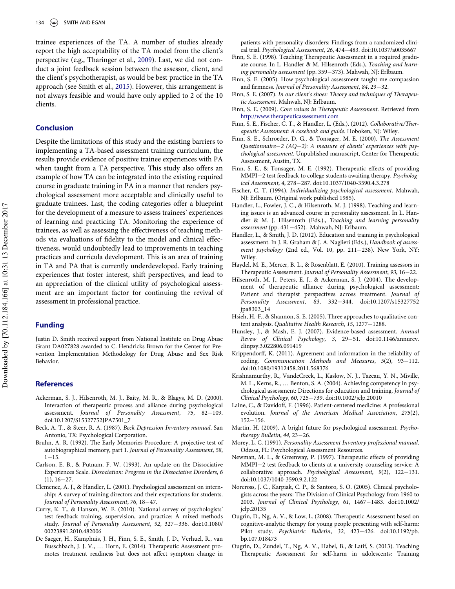<span id="page-8-28"></span><span id="page-8-16"></span>trainee experiences of the TA. A number of studies already report the high acceptability of the TA model from the client's perspective (e.g., Tharinger et al., [2009](#page-9-12)). Last, we did not conduct a joint feedback session between the assessor, client, and the client's psychotherapist, as would be best practice in the TA approach (see Smith et al., [2015](#page-9-6)). However, this arrangement is not always feasible and would have only applied to 2 of the 10 clients.

# <span id="page-8-23"></span><span id="page-8-14"></span><span id="page-8-7"></span>Conclusion

<span id="page-8-18"></span><span id="page-8-8"></span><span id="page-8-6"></span>Despite the limitations of this study and the existing barriers to implementing a TA-based assessment training curriculum, the results provide evidence of positive trainee experiences with PA when taught from a TA perspective. This study also offers an example of how TA can be integrated into the existing required course in graduate training in PA in a manner that renders psychological assessment more acceptable and clinically useful to graduate trainees. Last, the coding categories offer a blueprint for the development of a measure to assess trainees' experiences of learning and practicing TA. Monitoring the experience of trainees, as well as assessing the effectiveness of teaching methods via evaluations of fidelity to the model and clinical effectiveness, would undoubtedly lead to improvements in teaching practices and curricula development. This is an area of training in TA and PA that is currently underdeveloped. Early training experiences that foster interest, shift perspectives, and lead to an appreciation of the clinical utility of psychological assessment are an important factor for continuing the revival of assessment in professional practice.

## <span id="page-8-27"></span><span id="page-8-26"></span><span id="page-8-24"></span><span id="page-8-12"></span><span id="page-8-1"></span>Funding

<span id="page-8-25"></span>Justin D. Smith received support from National Institute on Drug Abuse Grant DA027828 awarded to C. Hendricks Brown for the Center for Prevention Implementation Methodology for Drug Abuse and Sex Risk Behavior.

## <span id="page-8-3"></span>References

- <span id="page-8-15"></span><span id="page-8-10"></span>Ackerman, S. J., Hilsenroth, M. J., Baity, M. R., & Blagys, M. D. (2000). Interaction of therapeutic process and alliance during psychological assessment. Journal of Personality Assessment,  $75$ , 82-109. doi[:10.1207/S15327752JPA7501\\_7](http://dx.doi.org/10.1207/S15327752JPA7501_7)
- <span id="page-8-21"></span><span id="page-8-2"></span>Beck, A. T., & Steer, R. A. (1987). Beck Depression Inventory manual. San Antonio, TX: Psychological Corporation.
- <span id="page-8-20"></span><span id="page-8-19"></span>Bruhn, A. R. (1992). The Early Memories Procedure: A projective test of autobiographical memory, part 1. Journal of Personality Assessment, 58,  $1 - 15$ .
- <span id="page-8-22"></span><span id="page-8-9"></span>Carlson, E. B., & Putnam, F. W. (1993). An update on the Dissociative Experiences Scale. Dissociation: Progress in the Dissociative Disorders, 6  $(1), 16 - 27.$
- <span id="page-8-4"></span><span id="page-8-0"></span>Clemence, A. J., & Handler, L. (2001). Psychological assessment on internship: A survey of training directors and their expectations for students. Journal of Personality Assessment, 76, 18-47.
- <span id="page-8-13"></span><span id="page-8-5"></span>Curry, K. T., & Hanson, W. E. (2010). National survey of psychologists' test feedback training, supervision, and practice: A mixed methods study. Journal of Personality Assessment, 92, 327-336. doi[:10.1080/](http://dx.doi.org/10.1080/00223891.2010.482006) [00223891.2010.482006](http://dx.doi.org/10.1080/00223891.2010.482006)
- <span id="page-8-17"></span><span id="page-8-11"></span>De Saeger, H., Kamphuis, J. H., Finn, S. E., Smith, J. D., Verhuel, R., van Busschbach, J. J. V., … Horn, E. (2014). Therapeutic Assessment promotes treatment readiness but does not affect symptom change in

patients with personality disorders: Findings from a randomized clini-cal trial. Psychological Assessment, 26, 474–483. doi[:10.1037/a0035667](http://dx.doi.org/10.1037/a0035667)

- Finn, S. E. (1998). Teaching Therapeutic Assessment in a required graduate course. In L. Handler & M. Hilsenroth (Eds.), Teaching and learning personality assessment (pp. 359-373). Mahwah, NJ: Erlbaum.
- Finn, S. E. (2005). How psychological assessment taught me compassion and firmness. Journal of Personality Assessment,  $84, 29 - 32$ .
- Finn, S. E. (2007). In our client's shoes: Theory and techniques of Therapeutic Assessment. Mahwah, NJ: Erlbaum.
- Finn, S. E. (2009). Core values in Therapeutic Assessment. Retrieved from <http://www.therapeuticassessment.com>
- Finn, S. E., Fischer, C. T., & Handler, L. (Eds.). (2012). Collaborative/Therapeutic Assessment: A casebook and guide. Hoboken, NJ: Wiley.
- Finn, S. E., Schroeder, D. G., & Tonsager, M. E. (2000). The Assessment Questionnaire-2 ( $AQ-2$ ): A measure of clients' experiences with psychological assessment. Unpublished manuscript, Center for Therapeutic Assessment, Austin, TX.
- Finn, S. E., & Tonsager, M. E. (1992). Therapeutic effects of providing MMPI-2 test feedback to college students awaiting therapy. Psycholog-ical Assessment, 4, 278-287. doi[:10.1037/1040-3590.4.3.278](http://dx.doi.org/10.1037/1040-3590.4.3.278)
- Fischer, C. T. (1994). Individualizing psychological assessment. Mahwah, NJ: Erlbaum. (Original work published 1985).
- Handler, L., Fowler, J. C., & Hilsenroth, M. J. (1998). Teaching and learning issues is an advanced course in personality assessment. In L. Handler & M. J. Hilsenroth (Eds.)., Teaching and learning personality assessment (pp. 431-452). Mahwah, NJ: Erlbaum.
- Handler, L., & Smith, J. D. (2012). Education and training in psychological assessment. In J. R. Graham & J. A. Naglieri (Eds.), Handbook of assessment psychology (2nd ed., Vol. 10, pp.  $211-238$ ). New York, NY: Wiley.
- Haydel, M. E., Mercer, B. L., & Rosenblatt, E. (2010). Training assessors in Therapeutic Assessment. Journal of Personality Assessment, 93, 16-22.
- Hilsenroth, M. J., Peters, E. J., & Ackerman, S. J. (2004). The development of therapeutic alliance during psychological assessment: Patient and therapist perspectives across treatment. Journal of Personality Assessment, 83, 332-344. doi:10.1207/s15327752 jpa8303\_14
- Hsieh, H.-F., & Shannon, S. E. (2005). Three approaches to qualitative content analysis. Qualitative Health Research, 15, 1277-1288.
- Hunsley, J., & Mash, E. J. (2007). Evidence-based assessment. Annual Revew of Clinical Psychology, 3, 29-51. doi:[10.1146/annurev.](http://dx.doi.org/10.1146/annurev.clinpsy.3.022806.091419) [clinpsy.3.022806.091419](http://dx.doi.org/10.1146/annurev.clinpsy.3.022806.091419)
- Krippendorff, K. (2011). Agreement and information in the reliability of coding. Communication Methods and Measures,  $5(2)$ ,  $93-112$ . doi:[10.1080/19312458.2011.568376](http://dx.doi.org/10.1080/19312458.2011.568376)
- Krishnamurthy, R., VandeCreek, L., Kaslow, N. J., Tazeau, Y. N., Miville, M. L., Kerns, R., … Benton, S. A. (2004). Achieving competency in psychological assessment: Directions for education and training. Journal of Clinical Psychology, 60, 725-739. doi:[10.1002/jclp.20010](http://dx.doi.org/10.1002/jclp.20010)
- Laine, C., & Davidoff, F. (1996). Patient-centered medicine: A professional evolution. Journal of the American Medical Association, 275(2),  $152 - 156.$
- Martin, H. (2009). A bright future for psychological assessment. Psychotherapy Bulletin,  $44$ ,  $23-26$ .
- Morey, L. C. (1991). Personality Assessment Inventory professional manual. Odessa, FL: Psychological Assessment Resources.
- Newman, M. L., & Greenway, P. (1997). Therapeutic effects of providing MMPI-2 test feedback to clients at a university counseling service: A collaborative approach. Psychological Assessment,  $9(2)$ , 122–131. doi:[10.1037/1040-3590.9.2.122](http://dx.doi.org/10.1037/1040-3590.9.2.122)
- Norcross, J. C., Karpiak, C. P., & Santoro, S. O. (2005). Clinical psychologists across the years: The Division of Clinical Psychology from 1960 to 2003. Journal of Clinical Psychology, 61, 1467-1483. doi[:10.1002/](http://dx.doi.org/10.1002/jclp.20135) [jclp.20135](http://dx.doi.org/10.1002/jclp.20135)
- Ougrin, D., Ng, A. V., & Low, L. (2008). Therapeutic Assessment based on cognitive-analytic therapy for young people presenting with self-harm: Pilot study. Psychiatric Bulletin, 32, 423-426. doi:[10.1192/pb.](http://dx.doi.org/10.1192/pb.bp.107.018473) [bp.107.018473](http://dx.doi.org/10.1192/pb.bp.107.018473)
- Ougrin, D., Zundel, T., Ng, A. V., Habel, B., & Latif, S. (2013). Teaching Therapeutic Assessment for self-harm in adolescents: Training